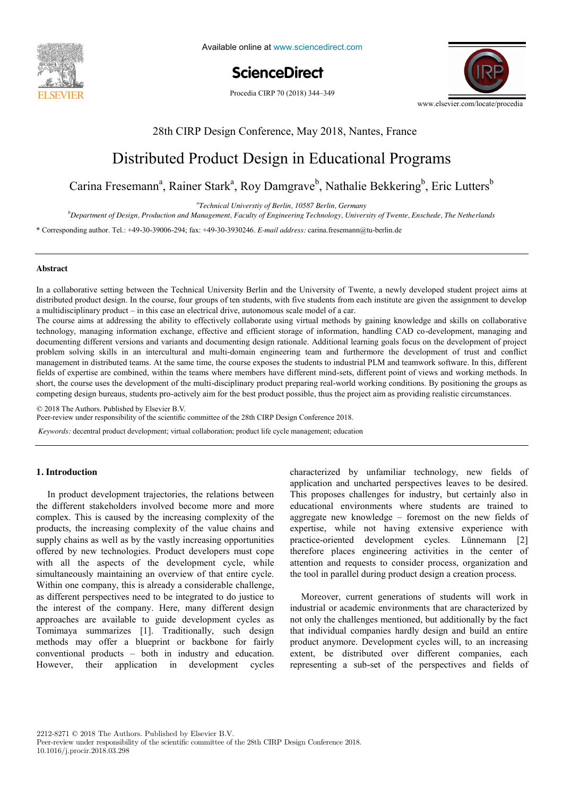

Available online at www.sciencedirect.com

## **ScienceDirect** ScienceDirect Procedia CIRP 00 (2017) 000–000

Procedia CIRP 70 (2018) 344-349



# 28th CIRP Design Conference, May 2018, Nantes, France

## buted Product Design in Educational Prog Distributed Product Design in Educational Programs , Rainer Starka , Roy Damai , Roy Damai , Roy Damai , Roy Damai , Roy Damai , Roy Damai , Roy Damai , Roy Damai , Roy Damai , Roy Damai , Roy Damai , Roy Damai , Roy Damai , Roy Damai , Roy Damai , Roy Damai , Roy Damai , Distributed Product Design in Educational Programs

Carina Fresemann<sup>a</sup>, Rainer Stark<sup>a</sup>, Roy Damgrave<sup>b</sup>, Nathalie Bekkering<sup>b</sup>, Eric Lutters<sup>b</sup> Carina Fresemann<sup>a</sup>, Rainer Stark<sup>a</sup>, Roy Damgrave<sup>b</sup>, Nathalie Bekkering<sup>b</sup>, Eric Lutters<sup>b</sup>

*Department of Design, Production and Management, Faculty of Engineering Technology, University of Twente, Enschede, The Netherlands a Technical Universtiy of Berlin, 10587 Berlin, Germany*

Technical Universtiy of Berlin, 10587 Berlin, Germany"<br>Department of Design, Production and Management, Faculty of Engineering Technology, University of Twente, Enschede, The Netherlands"

*École Nationale Supérieure d'Arts et Métiers, Arts et Métiers ParisTech, LCFC EA 4495, 4 Rue Augustin Fresnel, Metz 57078, France* 

\* Corresponding author. Tel.: +49-30-39006-294; fax: +49-30-3930246. *E-mail address:* carina.fresemann@tu-berlin.de

## **Abstract Abstract**

In a collaborative setting between the Technical University Berlin and the University of Twente, a newly developed student project aims at distributed product design. In the course, four groups of ten students, with five students from each institute are given the assignment to develop a multidisciplinary product – in this case an electrical drive, autonomous scale model of a car.

The course aims at addressing the ability to effectively collaborate using virtual methods by gaining knowledge and skills on collaborative documenting different versions and variants and documenting design rationale. Additional learning goals focus on the development of project problem solving skills in an intercultural and multi-domain engineering team and furthermore the development of trust and conflict management in distributed teams. At the same time, the course exposes the students to industrial PLM and teamwork software. In this, different fields of expertise are combined, within the teams where members have different mind-sets, different point of views and working methods. In short the course uses the development of the multi-disciplinary product preparing short, the course uses the development of the multi-disciplinary product preparing real-world working conditions. By positioning the groups as competing design bureaus, students pro-actively aim for the best product possible, thus the project aim as providing realistic circumstances. these products in new assembly oriented product families for the optimization of existing assembly lines and the creation of future reconfigurable technology, managing information exchange, effective and efficient storage of information, handling CAD co-development, managing and  $\sum_{i=1}^{n}$   $\sum_{j=1}^{n}$   $\sum_{j=1}^{n}$   $\sum_{j=1}^{n}$ 

example of a nail-clipper is used to explain the proposed methodology. An industrial case study on two product families of steering columns of

 $\degree$  2018 The Authors. Published by Elsevier B.V. © 2018 The Authors. Published by Elsevier B.V.

 $\degree$  2018 The Authors. Published by Elsevier B.V.<br>Peer-review under responsibility of the scientific committee of the 28th CIRP Design Conference 2018.

Keywords: decentral product development; virtual collaboration; product life cycle management; education *Keywords:* decentral product development; virtual collaboration; product life cycle management; education

## **1. Introduction**

In product development trajectories, the relations between supply chains as well as by the vastly increasing opportunities with all the aspects of the development cycle, while simultaneously maintaining an overview of that entire cycle. Within one company, this is already a considerable challenge, as different perspectives need to be integrated to do justice to the interest of the company. Here, many different design approaches are available to guide development cycles as Tomimaya summarizes [1]. Traditionally, such design methods may offer a blueprint or backbone for fairly conventional products – both in industry and education.  $\frac{1}{2}$  may their application in development cycles However, their application in development cycles the different stakeholders involved become more and more complex. This is caused by the increasing complexity of the products, the increasing complexity of the value chains and offered by new technologies. Product developers must cope

1. Introduction characterized by unfamiliar technology, new fields of practice-oriented development cycles. Lünnemann [2] practice-oriented development cycles. Luminomian [2] attention and requests to consider process, organization and process and require to constant process, eigenmented and the tool in parallel during product design a creation process. application and uncharted perspectives leaves to be desired. This proposes challenges for industry, but certainly also in educational environments where students are trained to aggregate new knowledge – foremost on the new fields of expertise, while not having extensive experience with

Moreover, current generations of students will work in industrial or academic environments that are characterized by not only the challenges mentioned, but additionally by the fact that individual companies hardly design and build an entire product anymore. Development cycles will, to an increasing product anymore. Development cycles will, to an increasing extent, be distributed over different companies, each representing a sub-set of the perspectives and fields of  $\mathbf{r}_\mathbf{r}$  and alleged product families analyze the product families analyze the product families analyze the product families and  $\mathbf{r}_\mathbf{r}$ the tool in parallel during product design a creation process.

2212-8271  $\odot$  2018 The Authors. Published by Elsevier B.V. Peer-review under responsibility of the scientific committee of the 28th CIRP Design Conference 2018. 10.1016/j.procir.2018.03.298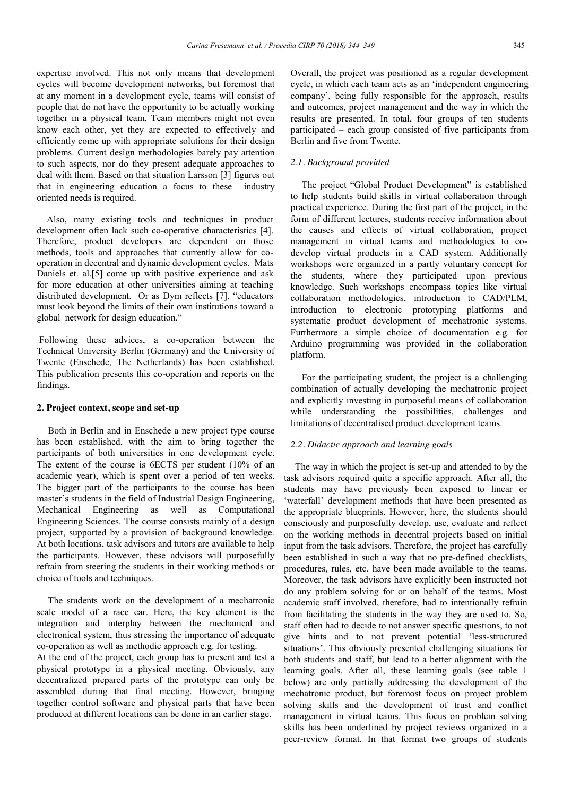expertise involved. This not only means that development cycles will become development networks, but foremost that at any moment in a development cycle, teams will consist of people that do not have the opportunity to be actually working together in a physical team. Team members might not even know each other, yet they are expected to effectively and efficiently come up with appropriate solutions for their design problems. Current design methodologies barely pay attention to such aspects, nor do they present adequate approaches to deal with them. Based on that situation Larsson [3] figures out that in engineering education a focus to these industry oriented needs is required.

Also, many existing tools and techniques in product development often lack such co-operative characteristics [4]. Therefore, product developers are dependent on those methods, tools and approaches that currently allow for cooperation in decentral and dynamic development cycles. Mats Daniels et. al.[5] come up with positive experience and ask for more education at other universities aiming at teaching distributed development. Or as Dym reflects [7], "educators must look beyond the limits of their own institutions toward a global network for design education."

Following these advices, a co-operation between the Technical University Berlin (Germany) and the University of Twente (Enschede, The Netherlands) has been established. This publication presents this co-operation and reports on the findings.

## **2. Project context, scope and set-up**

Both in Berlin and in Enschede a new project type course has been established, with the aim to bring together the participants of both universities in one development cycle. The extent of the course is 6ECTS per student (10% of an academic year), which is spent over a period of ten weeks. The bigger part of the participants to the course has been master's students in the field of Industrial Design Engineering, Mechanical Engineering as well as Computational Engineering Sciences. The course consists mainly of a design project, supported by a provision of background knowledge. At both locations, task advisors and tutors are available to help the participants. However, these advisors will purposefully refrain from steering the students in their working methods or choice of tools and techniques.

The students work on the development of a mechatronic scale model of a race car. Here, the key element is the integration and interplay between the mechanical and electronical system, thus stressing the importance of adequate co-operation as well as methodic approach e.g. for testing.

At the end of the project, each group has to present and test a physical prototype in a physical meeting. Obviously, any decentralized prepared parts of the prototype can only be assembled during that final meeting. However, bringing together control software and physical parts that have been produced at different locations can be done in an earlier stage.

Overall, the project was positioned as a regular development cycle, in which each team acts as an 'independent engineering company', being fully responsible for the approach, results and outcomes, project management and the way in which the results are presented. In total, four groups of ten students participated – each group consisted of five participants from Berlin and five from Twente.

### *2.1. Background provided*

The project "Global Product Development" is established to help students build skills in virtual collaboration through practical experience. During the first part of the project, in the form of different lectures, students receive information about the causes and effects of virtual collaboration, project management in virtual teams and methodologies to codevelop virtual products in a CAD system. Additionally workshops were organized in a partly voluntary concept for the students, where they participated upon previous knowledge. Such workshops encompass topics like virtual collaboration methodologies, introduction to CAD/PLM, introduction to electronic prototyping platforms and systematic product development of mechatronic systems. Furthermore a simple choice of documentation e.g. for Arduino programming was provided in the collaboration platform.

For the participating student, the project is a challenging combination of actually developing the mechatronic project and explicitly investing in purposeful means of collaboration while understanding the possibilities, challenges and limitations of decentralised product development teams.

### *2.2. Didactic approach and learning goals*

The way in which the project is set-up and attended to by the task advisors required quite a specific approach. After all, the students may have previously been exposed to linear or 'waterfall' development methods that have been presented as the appropriate blueprints. However, here, the students should consciously and purposefully develop, use, evaluate and reflect on the working methods in decentral projects based on initial input from the task advisors. Therefore, the project has carefully been established in such a way that no pre-defined checklists, procedures, rules, etc. have been made available to the teams. Moreover, the task advisors have explicitly been instructed not do any problem solving for or on behalf of the teams. Most academic staff involved, therefore, had to intentionally refrain from facilitating the students in the way they are used to. So, staff often had to decide to not answer specific questions, to not give hints and to not prevent potential 'less-structured situations'. This obviously presented challenging situations for both students and staff, but lead to a better alignment with the learning goals. After all, these learning goals (see table 1 below) are only partially addressing the development of the mechatronic product, but foremost focus on project problem solving skills and the development of trust and conflict management in virtual teams. This focus on problem solving skills has been underlined by project reviews organized in a peer-review format. In that format two groups of students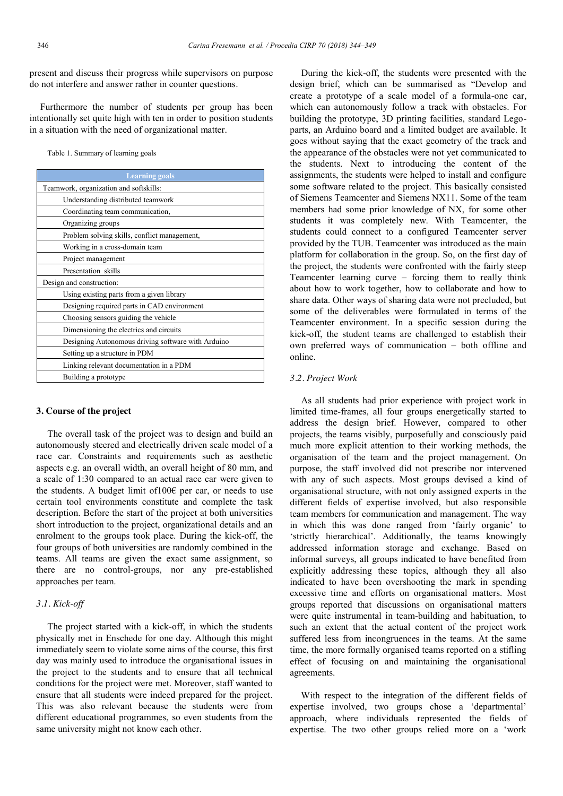present and discuss their progress while supervisors on purpose do not interfere and answer rather in counter questions.

Furthermore the number of students per group has been intentionally set quite high with ten in order to position students in a situation with the need of organizational matter.

Table 1. Summary of learning goals

| <b>Learning goals</b>                              |  |  |  |  |
|----------------------------------------------------|--|--|--|--|
| Teamwork, organization and softskills:             |  |  |  |  |
| Understanding distributed teamwork                 |  |  |  |  |
| Coordinating team communication,                   |  |  |  |  |
| Organizing groups                                  |  |  |  |  |
| Problem solving skills, conflict management,       |  |  |  |  |
| Working in a cross-domain team                     |  |  |  |  |
| Project management                                 |  |  |  |  |
| Presentation skills                                |  |  |  |  |
| Design and construction:                           |  |  |  |  |
| Using existing parts from a given library          |  |  |  |  |
| Designing required parts in CAD environment        |  |  |  |  |
| Choosing sensors guiding the vehicle               |  |  |  |  |
| Dimensioning the electrics and circuits            |  |  |  |  |
| Designing Autonomous driving software with Arduino |  |  |  |  |
| Setting up a structure in PDM                      |  |  |  |  |
| Linking relevant documentation in a PDM            |  |  |  |  |
| Building a prototype                               |  |  |  |  |

### **3. Course of the project**

The overall task of the project was to design and build an autonomously steered and electrically driven scale model of a race car. Constraints and requirements such as aesthetic aspects e.g. an overall width, an overall height of 80 mm, and a scale of 1:30 compared to an actual race car were given to the students. A budget limit of100€ per car, or needs to use certain tool environments constitute and complete the task description. Before the start of the project at both universities short introduction to the project, organizational details and an enrolment to the groups took place. During the kick-off, the four groups of both universities are randomly combined in the teams. All teams are given the exact same assignment, so there are no control-groups, nor any pre-established approaches per team.

## *3.1. Kick-off*

The project started with a kick-off, in which the students physically met in Enschede for one day. Although this might immediately seem to violate some aims of the course, this first day was mainly used to introduce the organisational issues in the project to the students and to ensure that all technical conditions for the project were met. Moreover, staff wanted to ensure that all students were indeed prepared for the project. This was also relevant because the students were from different educational programmes, so even students from the same university might not know each other.

During the kick-off, the students were presented with the design brief, which can be summarised as "Develop and create a prototype of a scale model of a formula-one car, which can autonomously follow a track with obstacles. For building the prototype, 3D printing facilities, standard Legoparts, an Arduino board and a limited budget are available. It goes without saying that the exact geometry of the track and the appearance of the obstacles were not yet communicated to the students. Next to introducing the content of the assignments, the students were helped to install and configure some software related to the project. This basically consisted of Siemens Teamcenter and Siemens NX11. Some of the team members had some prior knowledge of NX, for some other students it was completely new. With Teamcenter, the students could connect to a configured Teamcenter server provided by the TUB. Teamcenter was introduced as the main platform for collaboration in the group. So, on the first day of the project, the students were confronted with the fairly steep Teamcenter learning curve – forcing them to really think about how to work together, how to collaborate and how to share data. Other ways of sharing data were not precluded, but some of the deliverables were formulated in terms of the Teamcenter environment. In a specific session during the kick-off, the student teams are challenged to establish their own preferred ways of communication – both offline and online.

## *3.2. Project Work*

As all students had prior experience with project work in limited time-frames, all four groups energetically started to address the design brief. However, compared to other projects, the teams visibly, purposefully and consciously paid much more explicit attention to their working methods, the organisation of the team and the project management. On purpose, the staff involved did not prescribe nor intervened with any of such aspects. Most groups devised a kind of organisational structure, with not only assigned experts in the different fields of expertise involved, but also responsible team members for communication and management. The way in which this was done ranged from 'fairly organic' to 'strictly hierarchical'. Additionally, the teams knowingly addressed information storage and exchange. Based on informal surveys, all groups indicated to have benefited from explicitly addressing these topics, although they all also indicated to have been overshooting the mark in spending excessive time and efforts on organisational matters. Most groups reported that discussions on organisational matters were quite instrumental in team-building and habituation, to such an extent that the actual content of the project work suffered less from incongruences in the teams. At the same time, the more formally organised teams reported on a stifling effect of focusing on and maintaining the organisational agreements.

With respect to the integration of the different fields of expertise involved, two groups chose a 'departmental' approach, where individuals represented the fields of expertise. The two other groups relied more on a 'work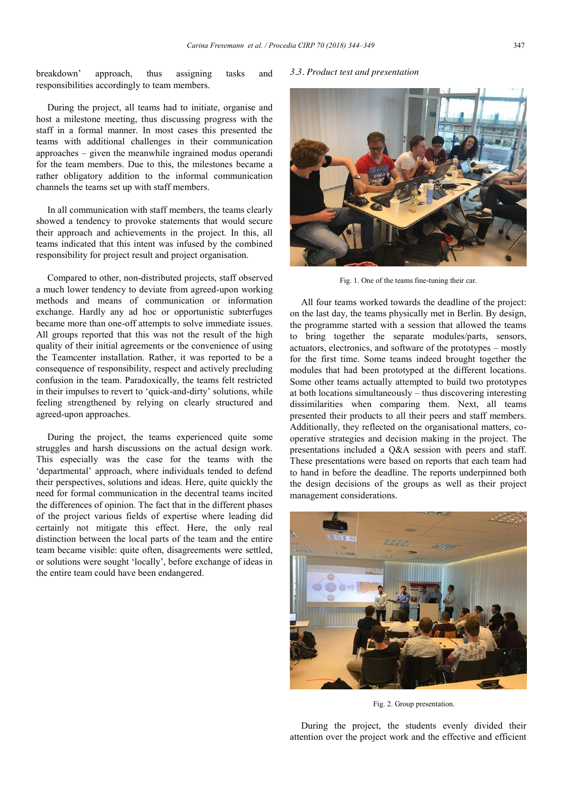breakdown' approach, thus assigning tasks and responsibilities accordingly to team members.

During the project, all teams had to initiate, organise and host a milestone meeting, thus discussing progress with the staff in a formal manner. In most cases this presented the teams with additional challenges in their communication approaches – given the meanwhile ingrained modus operandi for the team members. Due to this, the milestones became a rather obligatory addition to the informal communication channels the teams set up with staff members.

In all communication with staff members, the teams clearly showed a tendency to provoke statements that would secure their approach and achievements in the project. In this, all teams indicated that this intent was infused by the combined responsibility for project result and project organisation.

Compared to other, non-distributed projects, staff observed a much lower tendency to deviate from agreed-upon working methods and means of communication or information exchange. Hardly any ad hoc or opportunistic subterfuges became more than one-off attempts to solve immediate issues. All groups reported that this was not the result of the high quality of their initial agreements or the convenience of using the Teamcenter installation. Rather, it was reported to be a consequence of responsibility, respect and actively precluding confusion in the team. Paradoxically, the teams felt restricted in their impulses to revert to 'quick-and-dirty' solutions, while feeling strengthened by relying on clearly structured and agreed-upon approaches.

During the project, the teams experienced quite some struggles and harsh discussions on the actual design work. This especially was the case for the teams with the 'departmental' approach, where individuals tended to defend their perspectives, solutions and ideas. Here, quite quickly the need for formal communication in the decentral teams incited the differences of opinion. The fact that in the different phases of the project various fields of expertise where leading did certainly not mitigate this effect. Here, the only real distinction between the local parts of the team and the entire team became visible: quite often, disagreements were settled, or solutions were sought 'locally', before exchange of ideas in the entire team could have been endangered.

### *3.3. Product test and presentation*



Fig. 1. One of the teams fine-tuning their car.

All four teams worked towards the deadline of the project: on the last day, the teams physically met in Berlin. By design, the programme started with a session that allowed the teams to bring together the separate modules/parts, sensors, actuators, electronics, and software of the prototypes – mostly for the first time. Some teams indeed brought together the modules that had been prototyped at the different locations. Some other teams actually attempted to build two prototypes at both locations simultaneously – thus discovering interesting dissimilarities when comparing them. Next, all teams presented their products to all their peers and staff members. Additionally, they reflected on the organisational matters, cooperative strategies and decision making in the project. The presentations included a Q&A session with peers and staff. These presentations were based on reports that each team had to hand in before the deadline. The reports underpinned both the design decisions of the groups as well as their project management considerations.



Fig. 2. Group presentation.

During the project, the students evenly divided their attention over the project work and the effective and efficient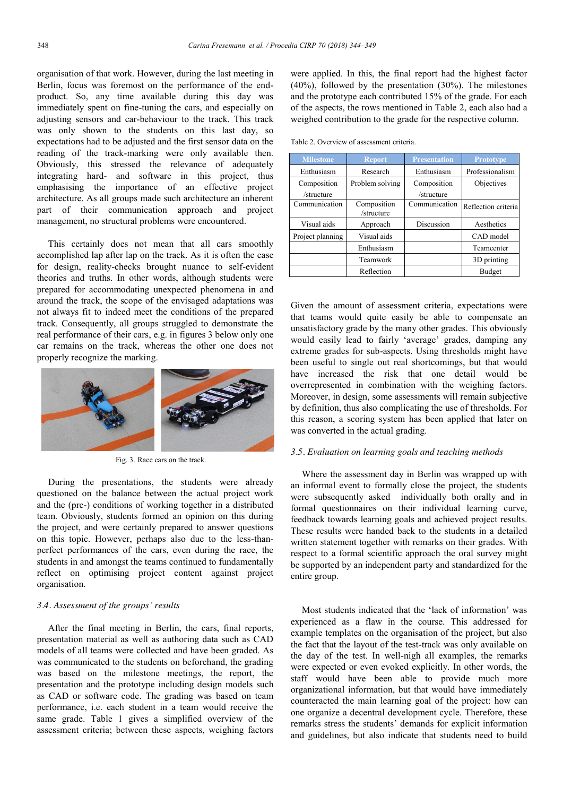organisation of that work. However, during the last meeting in Berlin, focus was foremost on the performance of the endproduct. So, any time available during this day was immediately spent on fine-tuning the cars, and especially on adjusting sensors and car-behaviour to the track. This track was only shown to the students on this last day, so expectations had to be adjusted and the first sensor data on the reading of the track-marking were only available then. Obviously, this stressed the relevance of adequately integrating hard- and software in this project, thus emphasising the importance of an effective project architecture. As all groups made such architecture an inherent part of their communication approach and project management, no structural problems were encountered.

This certainly does not mean that all cars smoothly accomplished lap after lap on the track. As it is often the case for design, reality-checks brought nuance to self-evident theories and truths. In other words, although students were prepared for accommodating unexpected phenomena in and around the track, the scope of the envisaged adaptations was not always fit to indeed meet the conditions of the prepared track. Consequently, all groups struggled to demonstrate the real performance of their cars, e.g. in figures 3 below only one car remains on the track, whereas the other one does not properly recognize the marking.



Fig. 3. Race cars on the track.

During the presentations, the students were already questioned on the balance between the actual project work and the (pre-) conditions of working together in a distributed team. Obviously, students formed an opinion on this during the project, and were certainly prepared to answer questions on this topic. However, perhaps also due to the less-thanperfect performances of the cars, even during the race, the students in and amongst the teams continued to fundamentally reflect on optimising project content against project organisation.

## *3.4. Assessment of the groups' results*

After the final meeting in Berlin, the cars, final reports, presentation material as well as authoring data such as CAD models of all teams were collected and have been graded. As was communicated to the students on beforehand, the grading was based on the milestone meetings, the report, the presentation and the prototype including design models such as CAD or software code. The grading was based on team performance, i.e. each student in a team would receive the same grade. Table 1 gives a simplified overview of the assessment criteria; between these aspects, weighing factors

were applied. In this, the final report had the highest factor (40%), followed by the presentation (30%). The milestones and the prototype each contributed 15% of the grade. For each of the aspects, the rows mentioned in Table 2, each also had a weighed contribution to the grade for the respective column.

Table 2. Overview of assessment criteria.

| <b>Milestone</b>          | <b>Report</b>             | <b>Presentation</b>       | <b>Prototype</b>    |
|---------------------------|---------------------------|---------------------------|---------------------|
| Enthusiasm                | Research                  | Enthusiasm                | Professionalism     |
| Composition<br>/structure | Problem solving           | Composition<br>/structure | Objectives          |
| Communication             | Composition<br>/structure | Communication             | Reflection criteria |
| Visual aids               | Approach                  | Discussion                | Aesthetics          |
| Project planning          | Visual aids               |                           | CAD model           |
|                           | Enthusiasm                |                           | Teamcenter          |
|                           | Teamwork                  |                           | 3D printing         |
|                           | Reflection                |                           | <b>Budget</b>       |

Given the amount of assessment criteria, expectations were that teams would quite easily be able to compensate an unsatisfactory grade by the many other grades. This obviously would easily lead to fairly 'average' grades, damping any extreme grades for sub-aspects. Using thresholds might have been useful to single out real shortcomings, but that would have increased the risk that one detail would be overrepresented in combination with the weighing factors. Moreover, in design, some assessments will remain subjective by definition, thus also complicating the use of thresholds. For this reason, a scoring system has been applied that later on was converted in the actual grading.

## *3.5. Evaluation on learning goals and teaching methods*

Where the assessment day in Berlin was wrapped up with an informal event to formally close the project, the students were subsequently asked individually both orally and in formal questionnaires on their individual learning curve, feedback towards learning goals and achieved project results. These results were handed back to the students in a detailed written statement together with remarks on their grades. With respect to a formal scientific approach the oral survey might be supported by an independent party and standardized for the entire group.

Most students indicated that the 'lack of information' was experienced as a flaw in the course. This addressed for example templates on the organisation of the project, but also the fact that the layout of the test-track was only available on the day of the test. In well-nigh all examples, the remarks were expected or even evoked explicitly. In other words, the staff would have been able to provide much more organizational information, but that would have immediately counteracted the main learning goal of the project: how can one organize a decentral development cycle. Therefore, these remarks stress the students' demands for explicit information and guidelines, but also indicate that students need to build